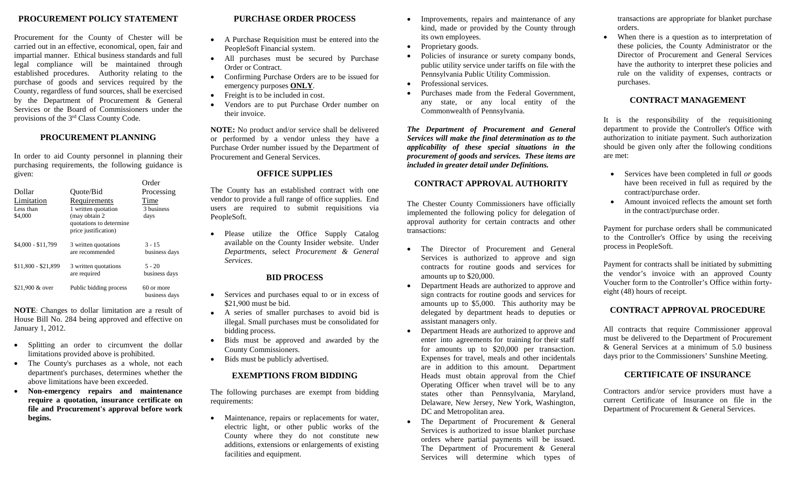# **PROCUREMENT POLICY STATEMENT**

Procurement for the County of Chester will be carried out in an effective, economical, open, fair and impartial manner. Ethical business standards and full legal compliance will be maintained through established procedures. Authority relating to the purchase of goods and services required by the County, regardless of fund sources, shall be exercised by the Department of Procurement & General Services or the Board of Commissioners under the provisions of the 3rd Class County Code.

#### **PROCUREMENT PLANNING**

In order to aid County personnel in planning their purchasing requirements, the following guidance is given:

|                                    |                                                                                                          | Order                       |
|------------------------------------|----------------------------------------------------------------------------------------------------------|-----------------------------|
| Dollar                             | Quote/Bid                                                                                                | Processing                  |
| Limitation<br>Less than<br>\$4,000 | Requirements<br>1 written quotation<br>(may obtain 2)<br>quotations to determine<br>price justification) | Time<br>3 business<br>days  |
| \$4,000 - \$11,799                 | 3 written quotations<br>are recommended                                                                  | $3 - 15$<br>business days   |
| \$11,800 - \$21,899                | 3 written quotations<br>are required                                                                     | $5 - 20$<br>business days   |
| \$21,900 & over                    | Public bidding process                                                                                   | 60 or more<br>business days |

**NOTE**: Changes to dollar limitation are a result of House Bill No. 284 being approved and effective on January 1, 2012.

- Splitting an order to circumvent the dollar limitations provided above is prohibited.
- The County's purchases as a whole, not each department's purchases, determines whether the above limitations have been exceeded.
- **Non-emergency repairs and maintenance require a quotation, insurance certificate on file and Procurement's approval before work begins.**

## **PURCHASE ORDER PROCESS**

- A Purchase Requisition must be entered into the PeopleSoft Financial system.
- All purchases must be secured by Purchase Order or Contract.
- Confirming Purchase Orders are to be issued for emergency purposes **ONLY**.
- Freight is to be included in cost.
- Vendors are to put Purchase Order number on their invoice.

**NOTE:** No product and/or service shall be delivered or performed by a vendor unless they have a Purchase Order number issued by the Department of Procurement and General Services.

#### **OFFICE SUPPLIES**

The County has an established contract with one vendor to provide a full range of office supplies. End users are required to submit requisitions via PeopleSoft.

• Please utilize the Office Supply Catalog available on the County Insider website. Under *Departments*, select *Procurement & General Services*.

#### **BID PROCESS**

- Services and purchases equal to or in excess of \$21,900 must be bid.
- A series of smaller purchases to avoid bid is illegal. Small purchases must be consolidated for bidding process.
- Bids must be approved and awarded by the County Commissioners.
- Bids must be publicly advertised.

#### **EXEMPTIONS FROM BIDDING**

The following purchases are exempt from bidding requirements:

• Maintenance, repairs or replacements for water, electric light, or other public works of the County where they do not constitute new additions, extensions or enlargements of existing facilities and equipment.

- Improvements, repairs and maintenance of any kind, made or provided by the County through its own employees.
- Proprietary goods.
- Policies of insurance or surety company bonds, public utility service under tariffs on file with the Pennsylvania Public Utility Commission.
- Professional services.
- Purchases made from the Federal Government, any state, or any local entity of the Commonwealth of Pennsylvania.

*The Department of Procurement and General Services will make the final determination as to the applicability of these special situations in the procurement of goods and services. These items are included in greater detail under Definitions.*

# **CONTRACT APPROVAL AUTHORITY**

The Chester County Commissioners have officially implemented the following policy for delegation of approval authority for certain contracts and other transactions:

- The Director of Procurement and General Services is authorized to approve and sign contracts for routine goods and services for amounts up to \$20,000.
- Department Heads are authorized to approve and sign contracts for routine goods and services for amounts up to \$5,000. This authority may be delegated by department heads to deputies or assistant managers only.
- Department Heads are authorized to approve and enter into agreements for training for their staff for amounts up to \$20,000 per transaction. Expenses for travel, meals and other incidentals are in addition to this amount. Department Heads must obtain approval from the Chief Operating Officer when travel will be to any states other than Pennsylvania, Maryland, Delaware, New Jersey, New York, Washington, DC and Metropolitan area.
- The Department of Procurement & General Services is authorized to issue blanket purchase orders where partial payments will be issued. The Department of Procurement & General Services will determine which types of

transactions are appropriate for blanket purchase orders.

• When there is a question as to interpretation of these policies, the County Administrator or the Director of Procurement and General Services have the authority to interpret these policies and rule on the validity of expenses, contracts or purchases.

## **CONTRACT MANAGEMENT**

It is the responsibility of the requisitioning department to provide the Controller's Office with authorization to initiate payment. Such authorization should be given only after the following conditions are met:

- Services have been completed in full *or* goods have been received in full as required by the contract/purchase order.
- Amount invoiced reflects the amount set forth in the contract/purchase order.

Payment for purchase orders shall be communicated to the Controller's Office by using the receiving process in PeopleSoft.

Payment for contracts shall be initiated by submitting the vendor's invoice with an approved County Voucher form to the Controller's Office within fortyeight (48) hours of receipt.

# **CONTRACT APPROVAL PROCEDURE**

All contracts that require Commissioner approval must be delivered to the Department of Procurement & General Services at a minimum of 5.0 business days prior to the Commissioners' Sunshine Meeting.

## **CERTIFICATE OF INSURANCE**

Contractors and/or service providers must have a current Certificate of Insurance on file in the Department of Procurement & General Services.